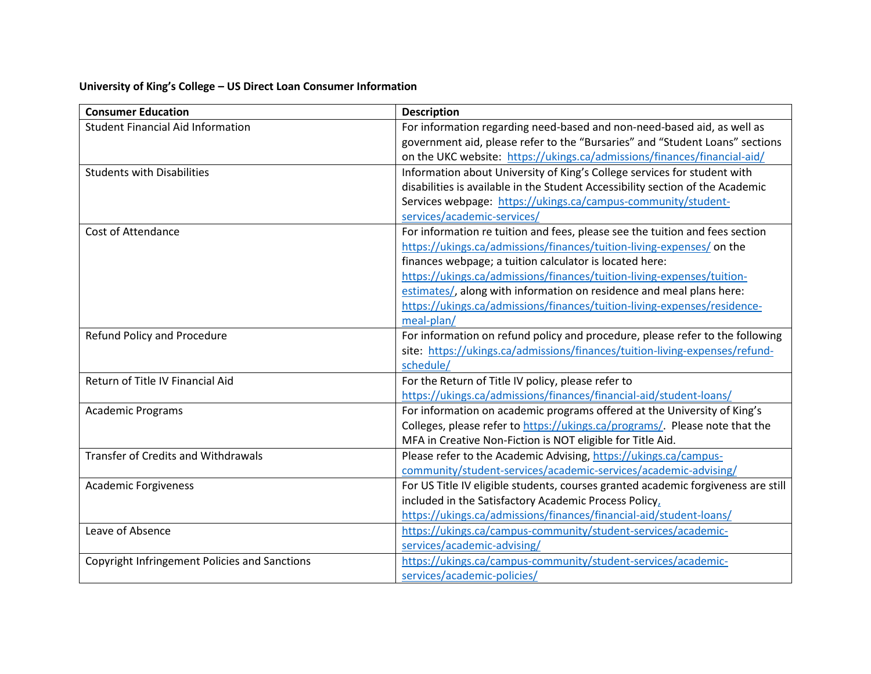## **University of King's College – US Direct Loan Consumer Information**

| <b>Consumer Education</b>                     | <b>Description</b>                                                                |
|-----------------------------------------------|-----------------------------------------------------------------------------------|
| <b>Student Financial Aid Information</b>      | For information regarding need-based and non-need-based aid, as well as           |
|                                               | government aid, please refer to the "Bursaries" and "Student Loans" sections      |
|                                               | on the UKC website: https://ukings.ca/admissions/finances/financial-aid/          |
| <b>Students with Disabilities</b>             | Information about University of King's College services for student with          |
|                                               | disabilities is available in the Student Accessibility section of the Academic    |
|                                               | Services webpage: https://ukings.ca/campus-community/student-                     |
|                                               | services/academic-services/                                                       |
| <b>Cost of Attendance</b>                     | For information re tuition and fees, please see the tuition and fees section      |
|                                               | https://ukings.ca/admissions/finances/tuition-living-expenses/ on the             |
|                                               | finances webpage; a tuition calculator is located here:                           |
|                                               | https://ukings.ca/admissions/finances/tuition-living-expenses/tuition-            |
|                                               | estimates/, along with information on residence and meal plans here:              |
|                                               | https://ukings.ca/admissions/finances/tuition-living-expenses/residence-          |
|                                               | meal-plan/                                                                        |
| Refund Policy and Procedure                   | For information on refund policy and procedure, please refer to the following     |
|                                               | site: https://ukings.ca/admissions/finances/tuition-living-expenses/refund-       |
|                                               | schedule/                                                                         |
| Return of Title IV Financial Aid              | For the Return of Title IV policy, please refer to                                |
|                                               | https://ukings.ca/admissions/finances/financial-aid/student-loans/                |
| <b>Academic Programs</b>                      | For information on academic programs offered at the University of King's          |
|                                               | Colleges, please refer to https://ukings.ca/programs/. Please note that the       |
|                                               | MFA in Creative Non-Fiction is NOT eligible for Title Aid.                        |
| <b>Transfer of Credits and Withdrawals</b>    | Please refer to the Academic Advising, https://ukings.ca/campus-                  |
|                                               | community/student-services/academic-services/academic-advising/                   |
| <b>Academic Forgiveness</b>                   | For US Title IV eligible students, courses granted academic forgiveness are still |
|                                               | included in the Satisfactory Academic Process Policy,                             |
|                                               | https://ukings.ca/admissions/finances/financial-aid/student-loans/                |
| Leave of Absence                              | https://ukings.ca/campus-community/student-services/academic-                     |
|                                               | services/academic-advising/                                                       |
| Copyright Infringement Policies and Sanctions | https://ukings.ca/campus-community/student-services/academic-                     |
|                                               | services/academic-policies/                                                       |